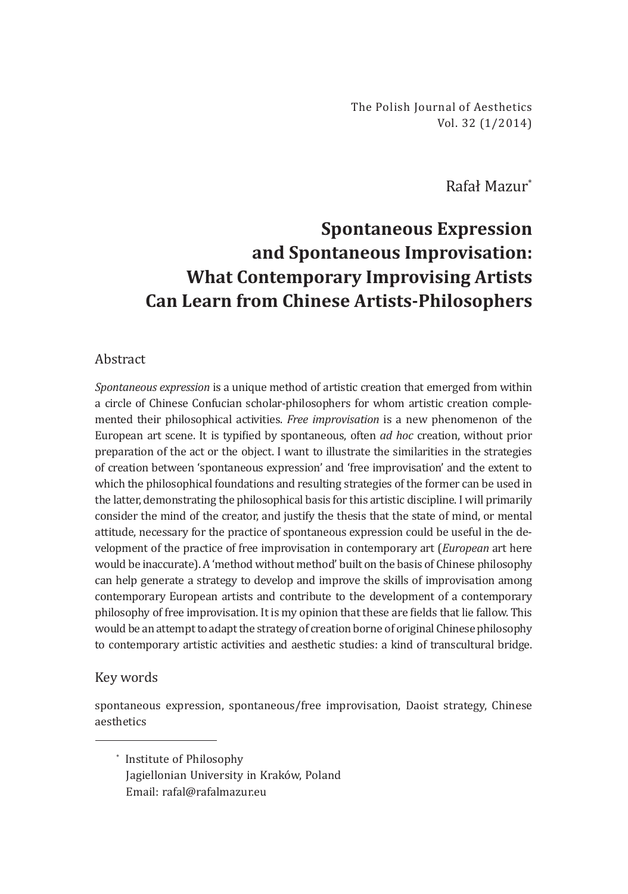The Polish Journal of Aesthetics Vol. 32 (1/2014)

Rafał Mazur\*

## **Spontaneous Expression and Spontaneous Improvisation: What Contemporary Improvising Artists Can Learn from Chinese Artists-Philosophers**

## Abstract

*Spontaneous expression* is a unique method of artistic creation that emerged from within a circle of Chinese Confucian scholar-philosophers for whom artistic creation complemented their philosophical activities. *Free improvisation* is a new phenomenon of the European art scene. It is typified by spontaneous, often *ad hoc* creation, without prior preparation of the act or the object. I want to illustrate the similarities in the strategies of creation between 'spontaneous expression' and 'free improvisation' and the extent to which the philosophical foundations and resulting strategies of the former can be used in the latter, demonstrating the philosophical basis for this artistic discipline. I will primarily consider the mind of the creator, and justify the thesis that the state of mind, or mental attitude, necessary for the practice of spontaneous expression could be useful in the development of the practice of free improvisation in contemporary art (*European* art here would be inaccurate). A 'method without method' built on the basis of Chinese philosophy can help generate a strategy to develop and improve the skills of improvisation among contemporary European artists and contribute to the development of a contemporary philosophy of free improvisation. It is my opinion that these are fields that lie fallow. This would be an attempt to adapt the strategy of creation borne of original Chinese philosophy to contemporary artistic activities and aesthetic studies: a kind of transcultural bridge.

## Key words

spontaneous expression, spontaneous/free improvisation, Daoist strategy, Chinese aesthetics

\* Institute of Philosophy Jagiellonian University in Kraków, Poland Email: rafal@rafalmazur.eu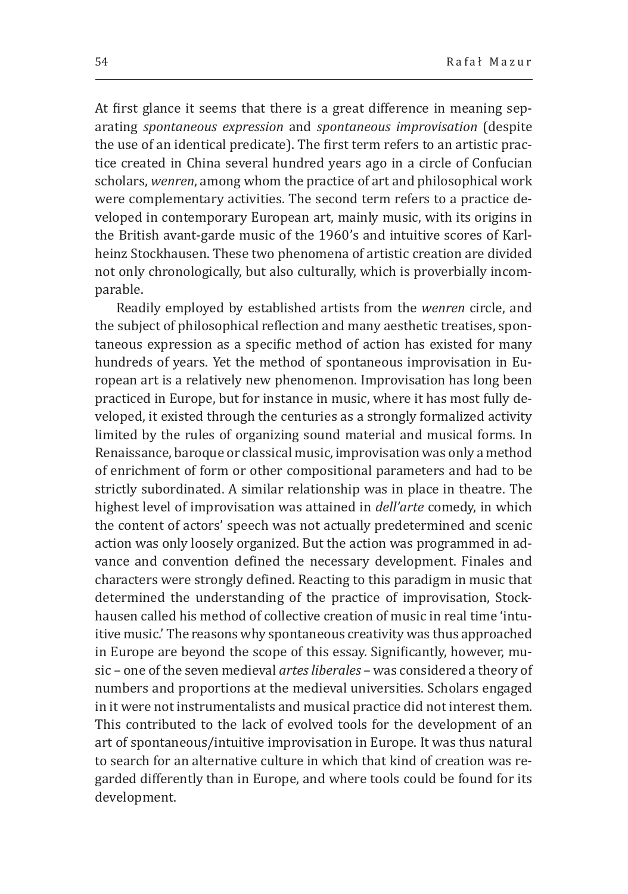At first glance it seems that there is a great difference in meaning separating *spontaneous expression* and *spontaneous improvisation* (despite the use of an identical predicate). The first term refers to an artistic practice created in China several hundred years ago in a circle of Confucian scholars, *wenren*, among whom the practice of art and philosophical work were complementary activities. The second term refers to a practice developed in contemporary European art, mainly music, with its origins in the British avant-garde music of the 1960's and intuitive scores of Karlheinz Stockhausen. These two phenomena of artistic creation are divided not only chronologically, but also culturally, which is proverbially incomparable.

Readily employed by established artists from the *wenren* circle, and the subject of philosophical reflection and many aesthetic treatises, spontaneous expression as a specific method of action has existed for many hundreds of years. Yet the method of spontaneous improvisation in European art is a relatively new phenomenon. Improvisation has long been practiced in Europe, but for instance in music, where it has most fully developed, it existed through the centuries as a strongly formalized activity limited by the rules of organizing sound material and musical forms. In Renaissance, baroque or classical music, improvisation was only a method of enrichment of form or other compositional parameters and had to be strictly subordinated. A similar relationship was in place in theatre. The highest level of improvisation was attained in *dell'arte* comedy, in which the content of actors' speech was not actually predetermined and scenic action was only loosely organized. But the action was programmed in advance and convention defined the necessary development. Finales and characters were strongly defined. Reacting to this paradigm in music that determined the understanding of the practice of improvisation, Stockhausen called his method of collective creation of music in real time 'intuitive music.' The reasons why spontaneous creativity was thus approached in Europe are beyond the scope of this essay. Significantly, however, music – one of the seven medieval *artes liberales* – was considered a theory of numbers and proportions at the medieval universities. Scholars engaged in it were not instrumentalists and musical practice did not interest them. This contributed to the lack of evolved tools for the development of an art of spontaneous/intuitive improvisation in Europe. It was thus natural to search for an alternative culture in which that kind of creation was regarded differently than in Europe, and where tools could be found for its development.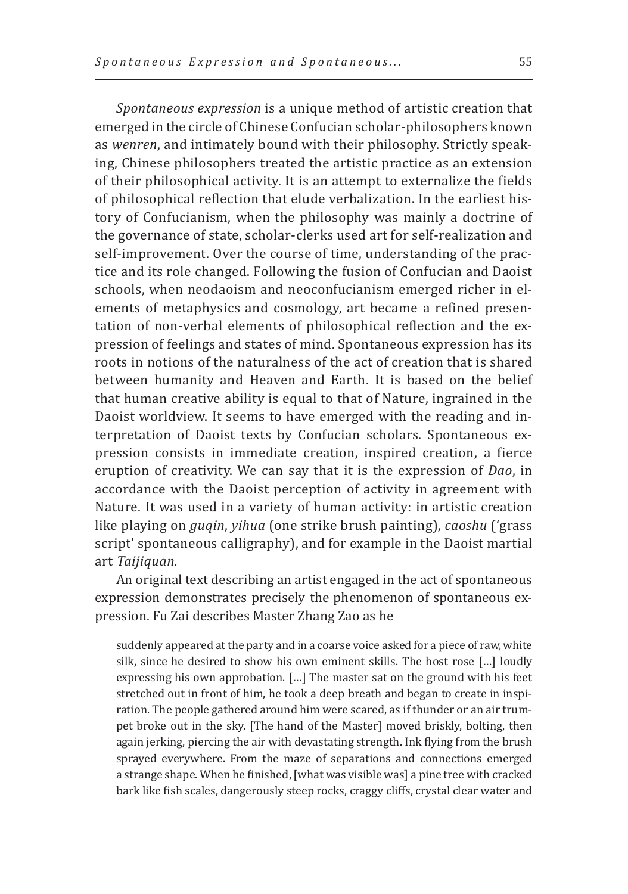*Spontaneous expression* is a unique method of artistic creation that emerged in the circle of Chinese Confucian scholar-philosophers known as *wenren*, and intimately bound with their philosophy. Strictly speaking, Chinese philosophers treated the artistic practice as an extension of their philosophical activity. It is an attempt to externalize the fields of philosophical reflection that elude verbalization. In the earliest history of Confucianism, when the philosophy was mainly a doctrine of the governance of state, scholar-clerks used art for self-realization and self-improvement. Over the course of time, understanding of the practice and its role changed. Following the fusion of Confucian and Daoist schools, when neodaoism and neoconfucianism emerged richer in elements of metaphysics and cosmology, art became a refined presentation of non-verbal elements of philosophical reflection and the expression of feelings and states of mind. Spontaneous expression has its roots in notions of the naturalness of the act of creation that is shared between humanity and Heaven and Earth. It is based on the belief that human creative ability is equal to that of Nature, ingrained in the Daoist worldview. It seems to have emerged with the reading and interpretation of Daoist texts by Confucian scholars. Spontaneous expression consists in immediate creation, inspired creation, a fierce eruption of creativity. We can say that it is the expression of *Dao*, in accordance with the Daoist perception of activity in agreement with Nature. It was used in a variety of human activity: in artistic creation like playing on *guqin*, *yihua* (one strike brush painting), *caoshu* ('grass script' spontaneous calligraphy), and for example in the Daoist martial art *Taijiquan.*

An original text describing an artist engaged in the act of spontaneous expression demonstrates precisely the phenomenon of spontaneous expression. Fu Zai describes Master Zhang Zao as he

suddenly appeared at the party and in a coarse voice asked for a piece of raw, white silk, since he desired to show his own eminent skills. The host rose […] loudly expressing his own approbation. […] The master sat on the ground with his feet stretched out in front of him, he took a deep breath and began to create in inspiration. The people gathered around him were scared, as if thunder or an air trumpet broke out in the sky. [The hand of the Master] moved briskly, bolting, then again jerking, piercing the air with devastating strength. Ink flying from the brush sprayed everywhere. From the maze of separations and connections emerged a strange shape. When he finished, [what was visible was] a pine tree with cracked bark like fish scales, dangerously steep rocks, craggy cliffs, crystal clear water and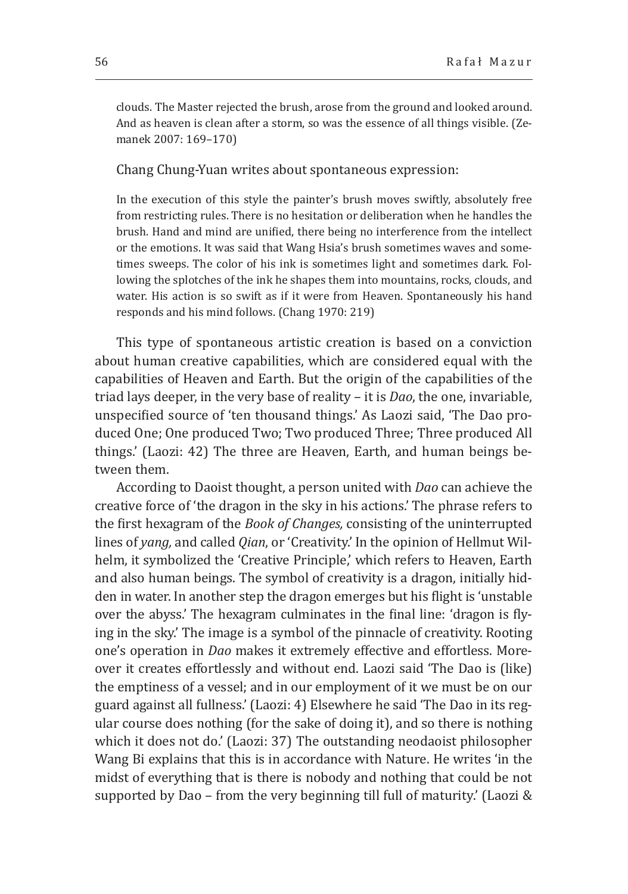clouds. The Master rejected the brush, arose from the ground and looked around. And as heaven is clean after a storm, so was the essence of all things visible. (Zemanek 2007: 169–170)

Chang Chung-Yuan writes about spontaneous expression:

In the execution of this style the painter's brush moves swiftly, absolutely free from restricting rules. There is no hesitation or deliberation when he handles the brush. Hand and mind are unified, there being no interference from the intellect or the emotions. It was said that Wang Hsia's brush sometimes waves and sometimes sweeps. The color of his ink is sometimes light and sometimes dark. Following the splotches of the ink he shapes them into mountains, rocks, clouds, and water. His action is so swift as if it were from Heaven. Spontaneously his hand responds and his mind follows. (Chang 1970: 219)

This type of spontaneous artistic creation is based on a conviction about human creative capabilities, which are considered equal with the capabilities of Heaven and Earth. But the origin of the capabilities of the triad lays deeper, in the very base of reality – it is *Dao*, the one, invariable, unspecified source of 'ten thousand things.' As Laozi said, 'The Dao produced One; One produced Two; Two produced Three; Three produced All things.' (Laozi: 42) The three are Heaven, Earth, and human beings between them.

According to Daoist thought, a person united with *Dao* can achieve the creative force of 'the dragon in the sky in his actions.' The phrase refers to the first hexagram of the *Book of Changes,* consisting of the uninterrupted lines of *yang,* and called *Qian*, or 'Creativity.' In the opinion of Hellmut Wilhelm, it symbolized the 'Creative Principle,' which refers to Heaven, Earth and also human beings. The symbol of creativity is a dragon, initially hidden in water. In another step the dragon emerges but his flight is 'unstable over the abyss.' The hexagram culminates in the final line: 'dragon is flying in the sky.' The image is a symbol of the pinnacle of creativity. Rooting one's operation in *Dao* makes it extremely effective and effortless. Moreover it creates effortlessly and without end. Laozi said 'The Dao is (like) the emptiness of a vessel; and in our employment of it we must be on our guard against all fullness.' (Laozi: 4) Elsewhere he said 'The Dao in its regular course does nothing (for the sake of doing it), and so there is nothing which it does not do.' (Laozi: 37) The outstanding neodaoist philosopher Wang Bi explains that this is in accordance with Nature. He writes 'in the midst of everything that is there is nobody and nothing that could be not supported by Dao – from the very beginning till full of maturity.' (Laozi &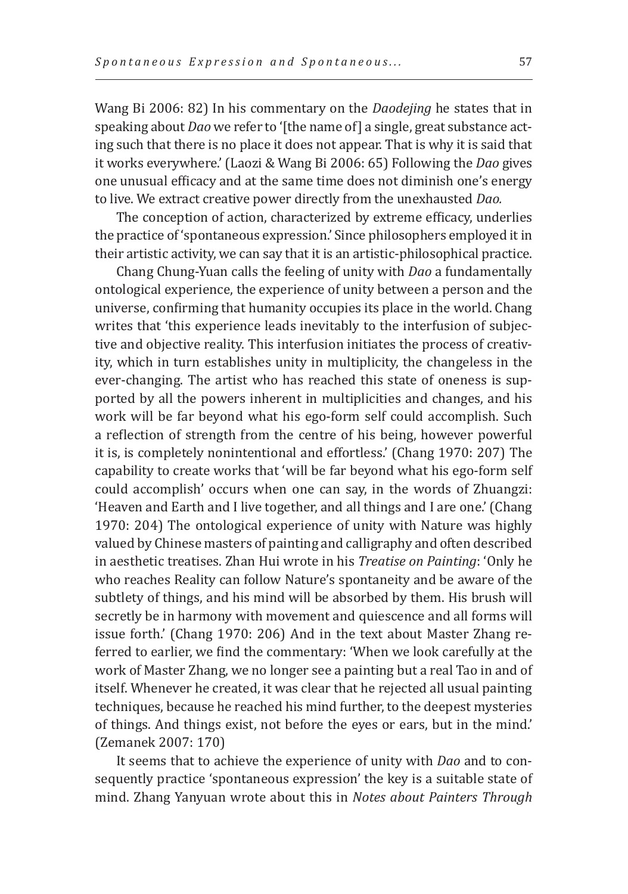Wang Bi 2006: 82) In his commentary on the *Daodejing* he states that in speaking about *Dao* we refer to '[the name of] a single, great substance acting such that there is no place it does not appear. That is why it is said that it works everywhere.' (Laozi & Wang Bi 2006: 65) Following the *Dao* gives one unusual efficacy and at the same time does not diminish one's energy to live. We extract creative power directly from the unexhausted *Dao.*

The conception of action, characterized by extreme efficacy, underlies the practice of 'spontaneous expression.' Since philosophers employed it in their artistic activity, we can say that it is an artistic-philosophical practice.

Chang Chung-Yuan calls the feeling of unity with *Dao* a fundamentally ontological experience, the experience of unity between a person and the universe, confirming that humanity occupies its place in the world. Chang writes that 'this experience leads inevitably to the interfusion of subjective and objective reality. This interfusion initiates the process of creativity, which in turn establishes unity in multiplicity, the changeless in the ever-changing. The artist who has reached this state of oneness is supported by all the powers inherent in multiplicities and changes, and his work will be far beyond what his ego-form self could accomplish. Such a reflection of strength from the centre of his being, however powerful it is, is completely nonintentional and effortless.' (Chang 1970: 207) The capability to create works that 'will be far beyond what his ego-form self could accomplish' occurs when one can say, in the words of Zhuangzi: 'Heaven and Earth and I live together, and all things and I are one.' (Chang 1970: 204) The ontological experience of unity with Nature was highly valued by Chinese masters of painting and calligraphy and often described in aesthetic treatises. Zhan Hui wrote in his *Treatise on Painting*: 'Only he who reaches Reality can follow Nature's spontaneity and be aware of the subtlety of things, and his mind will be absorbed by them. His brush will secretly be in harmony with movement and quiescence and all forms will issue forth.' (Chang 1970: 206) And in the text about Master Zhang referred to earlier, we find the commentary: 'When we look carefully at the work of Master Zhang, we no longer see a painting but a real Tao in and of itself. Whenever he created, it was clear that he rejected all usual painting techniques, because he reached his mind further, to the deepest mysteries of things. And things exist, not before the eyes or ears, but in the mind.' (Zemanek 2007: 170)

It seems that to achieve the experience of unity with *Dao* and to consequently practice 'spontaneous expression' the key is a suitable state of mind. Zhang Yanyuan wrote about this in *Notes about Painters Through*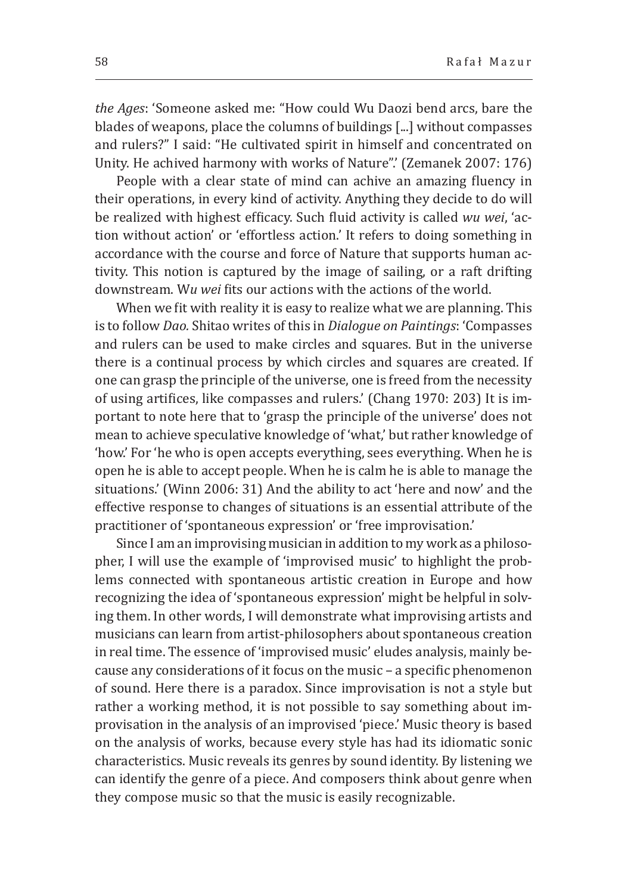*the Ages*: 'Someone asked me: "How could Wu Daozi bend arcs, bare the blades of weapons, place the columns of buildings [...] without compasses and rulers?" I said: "He cultivated spirit in himself and concentrated on Unity. He achived harmony with works of Nature".' (Zemanek 2007: 176)

People with a clear state of mind can achive an amazing fluency in their operations, in every kind of activity. Anything they decide to do will be realized with highest efficacy. Such fluid activity is called *wu wei*, 'action without action' or 'effortless action.' It refers to doing something in accordance with the course and force of Nature that supports human activity. This notion is captured by the image of sailing, or a raft drifting downstream. W*u wei* fits our actions with the actions of the world.

When we fit with reality it is easy to realize what we are planning. This is to follow *Dao.* Shitao writes of this in *Dialogue on Paintings*: 'Compasses and rulers can be used to make circles and squares. But in the universe there is a continual process by which circles and squares are created. If one can grasp the principle of the universe, one is freed from the necessity of using artifices, like compasses and rulers.' (Chang 1970: 203) It is important to note here that to 'grasp the principle of the universe' does not mean to achieve speculative knowledge of 'what,' but rather knowledge of 'how.' For 'he who is open accepts everything, sees everything. When he is open he is able to accept people. When he is calm he is able to manage the situations.' (Winn 2006: 31) And the ability to act 'here and now' and the effective response to changes of situations is an essential attribute of the practitioner of 'spontaneous expression' or 'free improvisation.'

Since I am an improvising musician in addition to my work as a philosopher, I will use the example of 'improvised music' to highlight the problems connected with spontaneous artistic creation in Europe and how recognizing the idea of 'spontaneous expression' might be helpful in solving them. In other words, I will demonstrate what improvising artists and musicians can learn from artist-philosophers about spontaneous creation in real time. The essence of 'improvised music' eludes analysis, mainly because any considerations of it focus on the music – a specific phenomenon of sound. Here there is a paradox. Since improvisation is not a style but rather a working method, it is not possible to say something about improvisation in the analysis of an improvised 'piece.' Music theory is based on the analysis of works, because every style has had its idiomatic sonic characteristics. Music reveals its genres by sound identity. By listening we can identify the genre of a piece. And composers think about genre when they compose music so that the music is easily recognizable.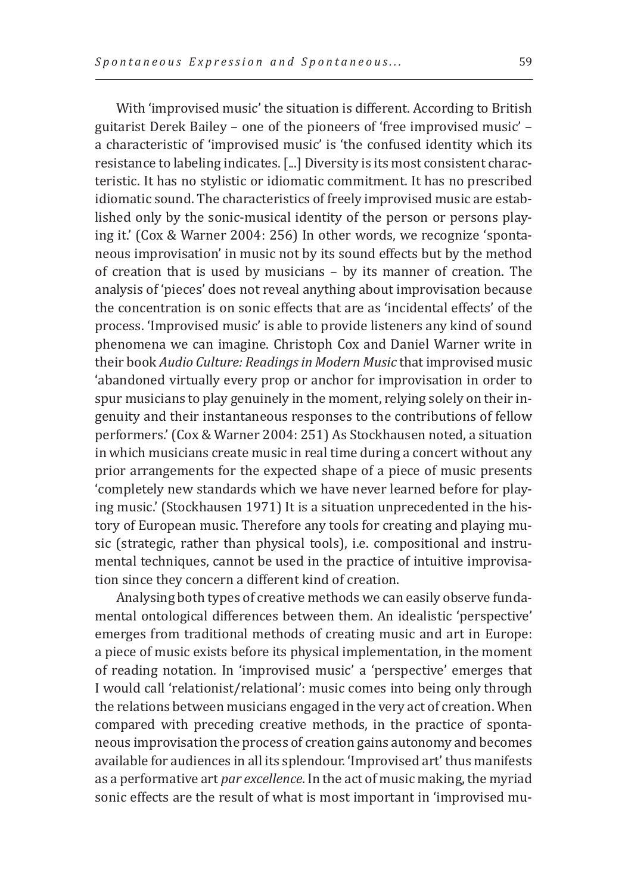With 'improvised music' the situation is different. According to British guitarist Derek Bailey – one of the pioneers of 'free improvised music' – a characteristic of 'improvised music' is 'the confused identity which its resistance to labeling indicates. [...] Diversity is its most consistent characteristic. It has no stylistic or idiomatic commitment. It has no prescribed idiomatic sound. The characteristics of freely improvised music are established only by the sonic-musical identity of the person or persons playing it.' (Cox & Warner 2004: 256) In other words, we recognize 'spontaneous improvisation' in music not by its sound effects but by the method of creation that is used by musicians – by its manner of creation. The analysis of 'pieces' does not reveal anything about improvisation because the concentration is on sonic effects that are as 'incidental effects' of the process. 'Improvised music' is able to provide listeners any kind of sound phenomena we can imagine. Christoph Cox and Daniel Warner write in their book *Audio Culture: Readings in Modern Music* that improvised music 'abandoned virtually every prop or anchor for improvisation in order to spur musicians to play genuinely in the moment, relying solely on their ingenuity and their instantaneous responses to the contributions of fellow performers.' (Cox & Warner 2004: 251) As Stockhausen noted, a situation in which musicians create music in real time during a concert without any prior arrangements for the expected shape of a piece of music presents 'completely new standards which we have never learned before for playing music.' (Stockhausen 1971) It is a situation unprecedented in the history of European music. Therefore any tools for creating and playing music (strategic, rather than physical tools), i.e. compositional and instrumental techniques, cannot be used in the practice of intuitive improvisation since they concern a different kind of creation.

Analysing both types of creative methods we can easily observe fundamental ontological differences between them. An idealistic 'perspective' emerges from traditional methods of creating music and art in Europe: a piece of music exists before its physical implementation, in the moment of reading notation. In 'improvised music' a 'perspective' emerges that I would call 'relationist/relational': music comes into being only through the relations between musicians engaged in the very act of creation. When compared with preceding creative methods, in the practice of spontaneous improvisation the process of creation gains autonomy and becomes available for audiences in all its splendour. 'Improvised art' thus manifests as a performative art *par excellence*. In the act of music making, the myriad sonic effects are the result of what is most important in 'improvised mu-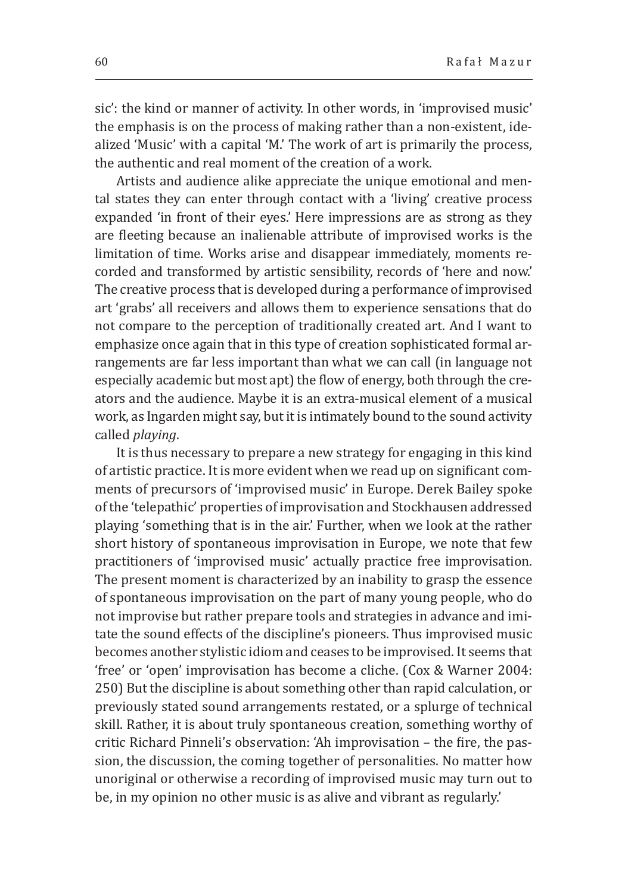sic': the kind or manner of activity. In other words, in 'improvised music' the emphasis is on the process of making rather than a non-existent, idealized 'Music' with a capital 'M.' The work of art is primarily the process, the authentic and real moment of the creation of a work.

Artists and audience alike appreciate the unique emotional and mental states they can enter through contact with a 'living' creative process expanded 'in front of their eyes.' Here impressions are as strong as they are fleeting because an inalienable attribute of improvised works is the limitation of time. Works arise and disappear immediately, moments recorded and transformed by artistic sensibility, records of 'here and now.' The creative process that is developed during a performance of improvised art 'grabs' all receivers and allows them to experience sensations that do not compare to the perception of traditionally created art. And I want to emphasize once again that in this type of creation sophisticated formal arrangements are far less important than what we can call (in language not especially academic but most apt) the flow of energy, both through the creators and the audience. Maybe it is an extra-musical element of a musical work, as Ingarden might say, but it is intimately bound to the sound activity called *playing*.

It is thus necessary to prepare a new strategy for engaging in this kind of artistic practice. It is more evident when we read up on significant comments of precursors of 'improvised music' in Europe. Derek Bailey spoke of the 'telepathic' properties of improvisation and Stockhausen addressed playing 'something that is in the air.' Further, when we look at the rather short history of spontaneous improvisation in Europe, we note that few practitioners of 'improvised music' actually practice free improvisation. The present moment is characterized by an inability to grasp the essence of spontaneous improvisation on the part of many young people, who do not improvise but rather prepare tools and strategies in advance and imitate the sound effects of the discipline's pioneers. Thus improvised music becomes another stylistic idiom and ceases to be improvised. It seems that 'free' or 'open' improvisation has become a cliche. (Cox & Warner 2004: 250) But the discipline is about something other than rapid calculation, or previously stated sound arrangements restated, or a splurge of technical skill. Rather, it is about truly spontaneous creation, something worthy of critic Richard Pinneli's observation: 'Ah improvisation – the fire, the passion, the discussion, the coming together of personalities. No matter how unoriginal or otherwise a recording of improvised music may turn out to be, in my opinion no other music is as alive and vibrant as regularly.'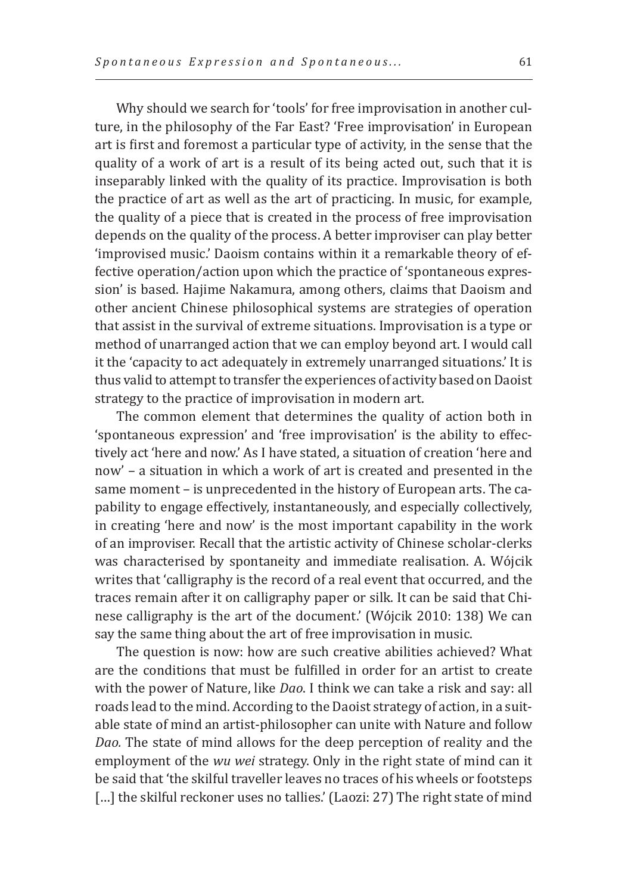Why should we search for 'tools' for free improvisation in another culture, in the philosophy of the Far East? 'Free improvisation' in European art is first and foremost a particular type of activity, in the sense that the quality of a work of art is a result of its being acted out, such that it is inseparably linked with the quality of its practice. Improvisation is both the practice of art as well as the art of practicing. In music, for example, the quality of a piece that is created in the process of free improvisation depends on the quality of the process. A better improviser can play better 'improvised music.' Daoism contains within it a remarkable theory of effective operation/action upon which the practice of 'spontaneous expression' is based. Hajime Nakamura, among others, claims that Daoism and other ancient Chinese philosophical systems are strategies of operation that assist in the survival of extreme situations. Improvisation is a type or method of unarranged action that we can employ beyond art. I would call it the 'capacity to act adequately in extremely unarranged situations.' It is thus valid to attempt to transfer the experiences of activity based on Daoist strategy to the practice of improvisation in modern art.

The common element that determines the quality of action both in 'spontaneous expression' and 'free improvisation' is the ability to effectively act 'here and now.' As I have stated, a situation of creation 'here and now' – a situation in which a work of art is created and presented in the same moment – is unprecedented in the history of European arts. The capability to engage effectively, instantaneously, and especially collectively, in creating 'here and now' is the most important capability in the work of an improviser. Recall that the artistic activity of Chinese scholar-clerks was characterised by spontaneity and immediate realisation. A. Wójcik writes that 'calligraphy is the record of a real event that occurred, and the traces remain after it on calligraphy paper or silk. It can be said that Chinese calligraphy is the art of the document.' (Wójcik 2010: 138) We can say the same thing about the art of free improvisation in music.

The question is now: how are such creative abilities achieved? What are the conditions that must be fulfilled in order for an artist to create with the power of Nature, like *Dao*. I think we can take a risk and say: all roads lead to the mind. According to the Daoist strategy of action, in a suitable state of mind an artist-philosopher can unite with Nature and follow *Dao.* The state of mind allows for the deep perception of reality and the employment of the *wu wei* strategy. Only in the right state of mind can it be said that 'the skilful traveller leaves no traces of his wheels or footsteps [...] the skilful reckoner uses no tallies.' (Laozi: 27) The right state of mind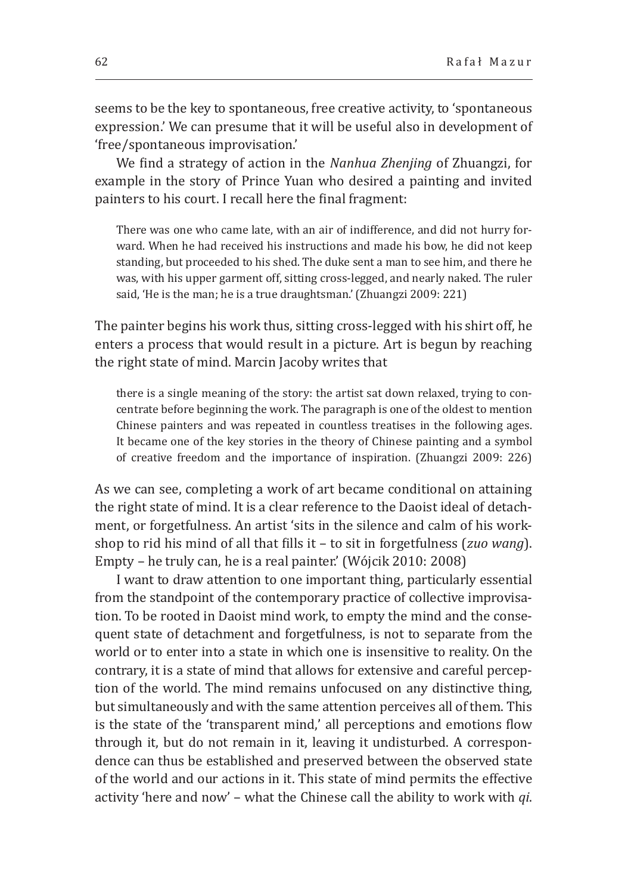seems to be the key to spontaneous, free creative activity, to 'spontaneous expression.' We can presume that it will be useful also in development of 'free/spontaneous improvisation.'

We find a strategy of action in the *Nanhua Zhenjing* of Zhuangzi, for example in the story of Prince Yuan who desired a painting and invited painters to his court. I recall here the final fragment:

There was one who came late, with an air of indifference, and did not hurry forward. When he had received his instructions and made his bow, he did not keep standing, but proceeded to his shed. The duke sent a man to see him, and there he was, with his upper garment off, sitting cross-legged, and nearly naked. The ruler said, 'He is the man; he is a true draughtsman.' (Zhuangzi 2009: 221)

The painter begins his work thus, sitting cross-legged with his shirt off, he enters a process that would result in a picture. Art is begun by reaching the right state of mind. Marcin Jacoby writes that

there is a single meaning of the story: the artist sat down relaxed, trying to concentrate before beginning the work. The paragraph is one of the oldest to mention Chinese painters and was repeated in countless treatises in the following ages. It became one of the key stories in the theory of Chinese painting and a symbol of creative freedom and the importance of inspiration. (Zhuangzi 2009: 226)

As we can see, completing a work of art became conditional on attaining the right state of mind. It is a clear reference to the Daoist ideal of detachment, or forgetfulness. An artist 'sits in the silence and calm of his workshop to rid his mind of all that fills it – to sit in forgetfulness (*zuo wang*). Empty – he truly can, he is a real painter.' (Wójcik 2010: 2008)

I want to draw attention to one important thing, particularly essential from the standpoint of the contemporary practice of collective improvisation. To be rooted in Daoist mind work, to empty the mind and the consequent state of detachment and forgetfulness, is not to separate from the world or to enter into a state in which one is insensitive to reality. On the contrary, it is a state of mind that allows for extensive and careful perception of the world. The mind remains unfocused on any distinctive thing, but simultaneously and with the same attention perceives all of them. This is the state of the 'transparent mind,' all perceptions and emotions flow through it, but do not remain in it, leaving it undisturbed. A correspondence can thus be established and preserved between the observed state of the world and our actions in it. This state of mind permits the effective activity 'here and now' – what the Chinese call the ability to work with *qi*.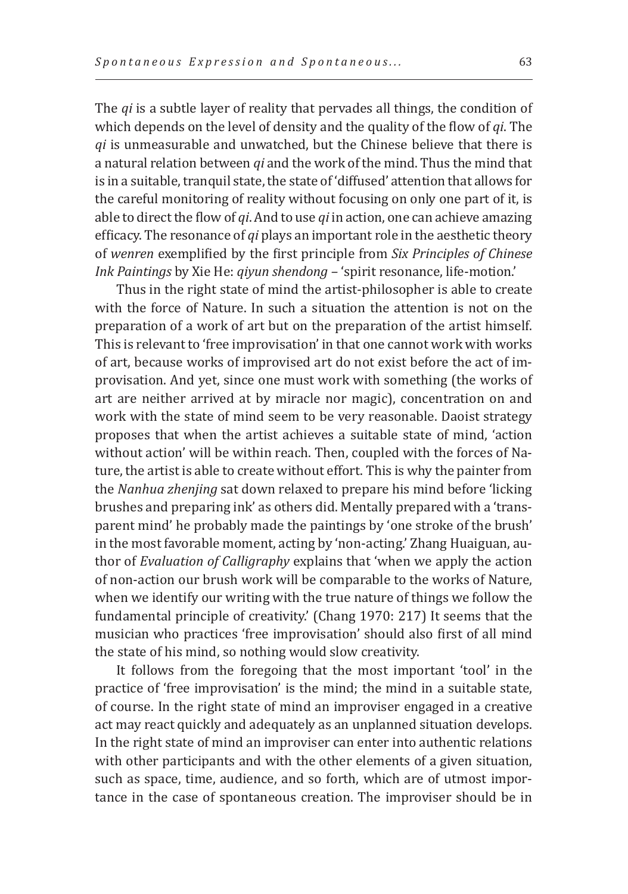The *qi* is a subtle layer of reality that pervades all things, the condition of which depends on the level of density and the quality of the flow of *qi*. The *qi* is unmeasurable and unwatched, but the Chinese believe that there is a natural relation between *qi* and the work of the mind. Thus the mind that is in a suitable, tranquil state, the state of 'diffused' attention that allows for the careful monitoring of reality without focusing on only one part of it, is able to direct the flow of *qi*. And to use *qi* in action, one can achieve amazing efficacy. The resonance of *qi* plays an important role in the aesthetic theory of *wenren* exemplified by the first principle from *Six Principles of Chinese Ink Paintings* by Xie He: *qiyun shendong –* 'spirit resonance, life-motion.'

Thus in the right state of mind the artist-philosopher is able to create with the force of Nature. In such a situation the attention is not on the preparation of a work of art but on the preparation of the artist himself. This is relevant to 'free improvisation' in that one cannot work with works of art, because works of improvised art do not exist before the act of improvisation. And yet, since one must work with something (the works of art are neither arrived at by miracle nor magic), concentration on and work with the state of mind seem to be very reasonable. Daoist strategy proposes that when the artist achieves a suitable state of mind, 'action without action' will be within reach. Then, coupled with the forces of Nature, the artist is able to create without effort. This is why the painter from the *Nanhua zhenjing* sat down relaxed to prepare his mind before 'licking brushes and preparing ink' as others did. Mentally prepared with a 'transparent mind' he probably made the paintings by 'one stroke of the brush' in the most favorable moment, acting by 'non-acting.' Zhang Huaiguan, author of *Evaluation of Calligraphy* explains that 'when we apply the action of non-action our brush work will be comparable to the works of Nature, when we identify our writing with the true nature of things we follow the fundamental principle of creativity.' (Chang 1970: 217) It seems that the musician who practices 'free improvisation' should also first of all mind the state of his mind, so nothing would slow creativity.

It follows from the foregoing that the most important 'tool' in the practice of 'free improvisation' is the mind; the mind in a suitable state, of course. In the right state of mind an improviser engaged in a creative act may react quickly and adequately as an unplanned situation develops. In the right state of mind an improviser can enter into authentic relations with other participants and with the other elements of a given situation, such as space, time, audience, and so forth, which are of utmost importance in the case of spontaneous creation. The improviser should be in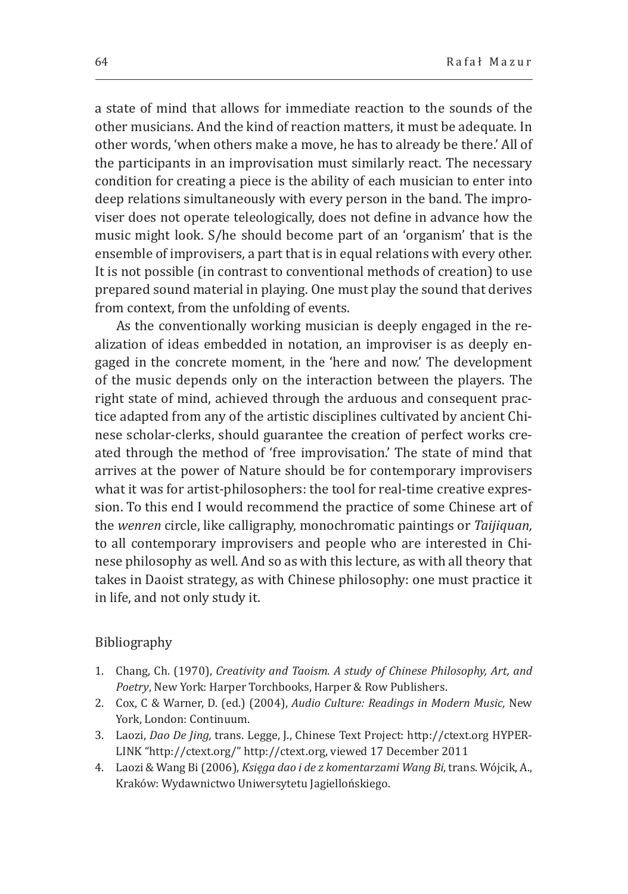a state of mind that allows for immediate reaction to the sounds of the other musicians. And the kind of reaction matters, it must be adequate. In other words, 'when others make a move, he has to already be there.' All of the participants in an improvisation must similarly react. The necessary condition for creating a piece is the ability of each musician to enter into deep relations simultaneously with every person in the band. The improviser does not operate teleologically, does not define in advance how the music might look. S/he should become part of an 'organism' that is the ensemble of improvisers, a part that is in equal relations with every other. It is not possible (in contrast to conventional methods of creation) to use prepared sound material in playing. One must play the sound that derives from context, from the unfolding of events.

As the conventionally working musician is deeply engaged in the realization of ideas embedded in notation, an improviser is as deeply engaged in the concrete moment, in the 'here and now.' The development of the music depends only on the interaction between the players. The right state of mind, achieved through the arduous and consequent practice adapted from any of the artistic disciplines cultivated by ancient Chinese scholar-clerks, should guarantee the creation of perfect works created through the method of 'free improvisation.' The state of mind that arrives at the power of Nature should be for contemporary improvisers what it was for artist-philosophers: the tool for real-time creative expression. To this end I would recommend the practice of some Chinese art of the *wenren* circle, like calligraphy, monochromatic paintings or *Taijiquan,*  to all contemporary improvisers and people who are interested in Chinese philosophy as well*.* And so as with this lecture, as with all theory that takes in Daoist strategy, as with Chinese philosophy: one must practice it in life, and not only study it.

## Bibliography

- 1. Chang, Ch. (1970), *Creativity and Taoism. A study of Chinese Philosophy, Art, and Poetry*, New York: Harper Torchbooks, Harper & Row Publishers.
- 2. Cox, C & Warner, D. (ed.) (2004), *Audio Culture: Readings in Modern Music,* New York, London: Continuum.
- 3. Laozi, *Dao De Jing,* trans. Legge, J., Chinese Text Project: http://ctext.org HYPER-LINK "http://ctext.org/" http://ctext.org, viewed 17 December 2011
- 4. Laozi & Wang Bi (2006), *Księga dao i de z komentarzami Wang Bi*, trans. Wójcik, A., Kraków: Wydawnictwo Uniwersytetu Jagiellońskiego.